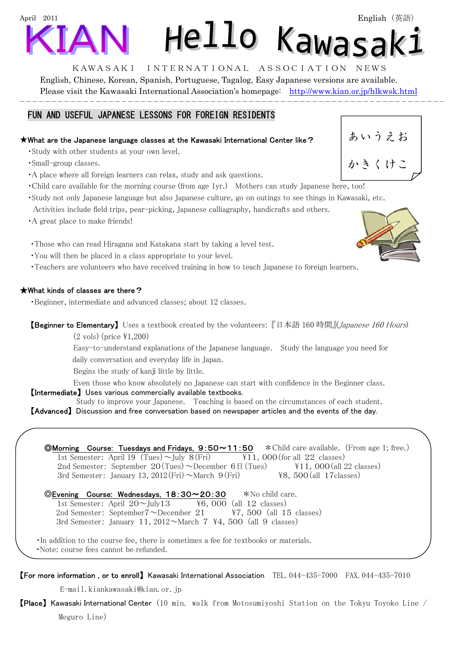# April 2011 Hello Kawasak:

KAWASAKI INTERNATIONAL ASSOCIATION NEWS English, Chinese, Korean, Spanish, Portuguese, Tagalog, Easy Japanese versions are available. Please visit the Kawasaki International Association's homepage: http://www.kian.or.jp/hlkwsk.html

## FUN AND USEFUL JAPANESE LESSONS FOR FOREIGN RESIDENTS

## ★What are the Japanese language classes at the Kawasaki International Center like?

- ・Study with other students at your own level.
- ・Small-group classes.
- ・A place where all foreign learners can relax, study and ask questions.
- ・Child care available for the morning course (from age 1yr.) Mothers can study Japanese here, too!
- ・Study not only Japanese language but also Japanese culture, go on outings to see things in Kawasaki, etc.
- Activities include field trips, pear-picking, Japanese calliagraphy, handicrafts and others.
- ・A great place to make friends!

・Those who can read Hiragana and Katakana start by taking a level test.

- ・You will then be placed in a class appropriate to your level.
- ・Teachers are volunteers who have received training in how to teach Japanese to foreign learners.

# ★What kinds of classes are there?

・Beginner, intermediate and advanced classes; about 12 classes.

【Beginner to Elementary】 Uses a textbook created by the volunteers: 『日本語 160 時間』(*Japanese 160 Hours*)

 $(2 \text{ vols})$  (price  $\text{\textsterling}1,200$ )

Easy-to-understand explanations of the Japanese language. Study the language you need for

daily conversation and everyday life in Japan.

Begins the study of kanji little by little.

Even those who know absolutely no Japanese can start with confidence in the Beginner class.

【Intermediate】 Uses various commercially available textbooks.

Study to improve your Japanese. Teaching is based on the circumstances of each student. 【Advanced】 Discussion and free conversation based on newspaper articles and the events of the day.

| <b>OMorning</b> Course: Tuesdays and Fridays, $9:50 \sim 11:50$ * Child care available. (From age 1; free.) |                                                     |
|-------------------------------------------------------------------------------------------------------------|-----------------------------------------------------|
| 1st Semester: April 19 (Tues) $\sim$ July 8(Fri)                                                            | $\text{\textsterling}11$ , 000 (for all 22 classes) |
| 2nd Semester: September 20 (Tues) $\sim$ December 6 $\boxplus$ (Tues)                                       | $\text{\textsterling}11$ , 000 (all 22 classes)     |
| 3rd Semester: January 13, $2012$ (Fri) $\sim$ March 9 (Fri)                                                 | $48,500$ (all 17 classes)                           |

©Evening Course: Wednesdays, 18:30~20:30 \*No child care. 1st Semester: April  $20 \sim$ July13  $\frac{126}{12}$  classes) 2nd Semester: September7 $\sim$ December 21  $\gamma$   $\mid$   $\sim$  7, 500 (all 15 classes) 3rd Semester: January 11, 2012 $\sim$ March 7 \#4, 500 (all 9 classes)

・In addition to the course fee, there is sometimes a fee for textbooks or materials. ・Note: course fees cannot be refunded.

# 【For more information , or to enroll】 Kawasaki International Association TEL.044-435-7000 FAX.044-435-7010

E-mail.kiankawasaki@kian.or.jp

【Place】 Kawasaki International Center(10 min. walk from Motosumiyoshi Station on the Tokyu Toyoko Line / Meguro Line)